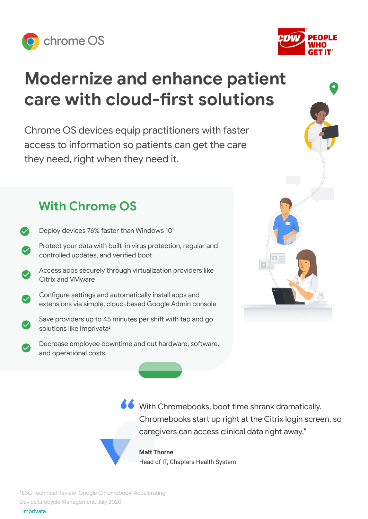



# **Modernize and enhance patient care with cloud-first solutions**

Chrome OS devices equip practitioners with faster access to information so patients can get the care they need, right when they need it.

# **With Chrome OS**

Deploy devices 76% faster than Windows 10<sup>1</sup> Protect your data with built-in virus protection, regular and controlled updates, and verified boot Access apps securely through virtualization providers like Citrix and VMware Configure settings and automatically install apps and extensions via simple, cloud-based Google Admin console Save providers up to 45 minutes per shift with tap and go solutions like Imprivata<sup>2</sup> Decrease employee downtime and cut hardware, software, and operational costs



**66** With Chromebooks, boot time shrank dramatically. Chromebooks start up right at the Citrix login screen, so caregivers can access clinical data right away."

**Matt Thorne** Head of IT, Chapters Health System

<sup>1</sup>ESG Technical Review-Google Chromebook-Accelerating

Device Lifecycle Management, July 2020

2 [Imprivata](https://www.imprivata.com/single-sign-on-sso)